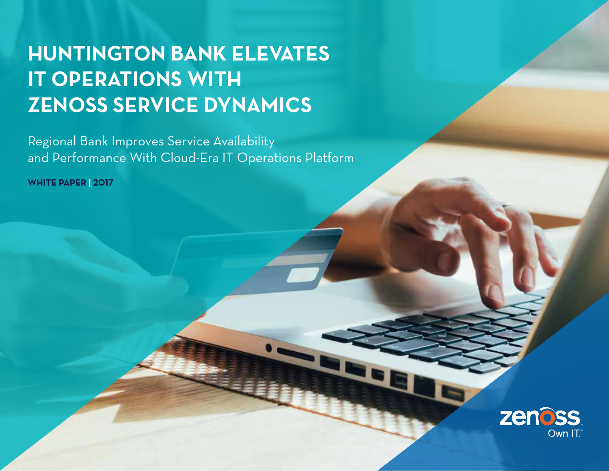# **HUNTINGTON BANK ELEVATES IT OPERATIONS WITH ZENOSS SERVICE DYNAMICS**

Regional Bank Improves Service Availability and Performance With Cloud-Era IT Operations Platform

**1** Zenoss.com | White Paper 2017

**WHITE PAPER | 2017**

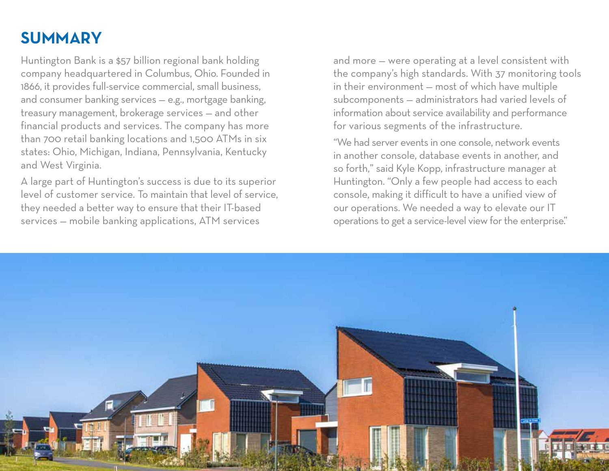## **SUMMARY**

Huntington Bank is a \$57 billion regional bank holding company headquartered in Columbus, Ohio. Founded in 1866, it provides full-service commercial, small business, and consumer banking services — e.g., mortgage banking, treasury management, brokerage services — and other financial products and services. The company has more than 700 retail banking locations and 1,500 ATMs in six states: Ohio, Michigan, Indiana, Pennsylvania, Kentucky and West Virginia.

A large part of Huntington's success is due to its superior level of customer service. To maintain that level of service, they needed a better way to ensure that their IT-based services — mobile banking applications, ATM services

and more — were operating at a level consistent with the company's high standards. With 37 monitoring tools in their environment — most of which have multiple subcomponents — administrators had varied levels of information about service availability and performance for various segments of the infrastructure.

"We had server events in one console, network events in another console, database events in another, and so forth," said Kyle Kopp, infrastructure manager at Huntington. "Only a few people had access to each console, making it difficult to have a unified view of our operations. We needed a way to elevate our IT operations to get a service-level view for the enterprise."

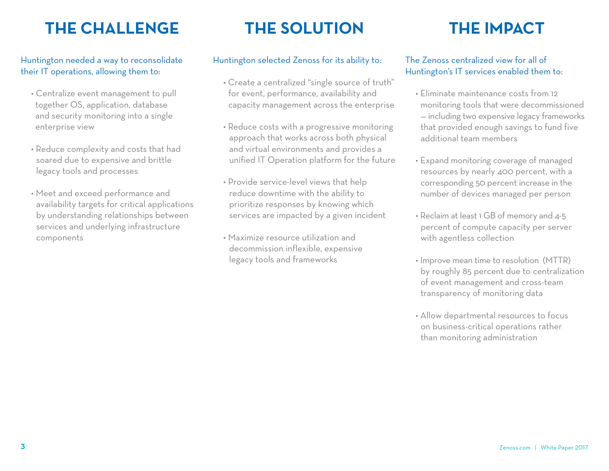## **THE CHALLENGE THE SOLUTION THE IMPACT**

#### Huntington needed a way to reconsolidate their IT operations, allowing them to:

- Centralize event management to pull together OS, application, database and security monitoring into a single enterprise view
- Reduce complexity and costs that had soared due to expensive and brittle legacy tools and processes
- Meet and exceed performance and availability targets for critical applications by understanding relationships between services and underlying infrastructure components

### Huntington selected Zenoss for its ability to:

- Create a centralized "single source of truth" for event, performance, availability and capacity management across the enterprise
- Reduce costs with a progressive monitoring approach that works across both physical and virtual environments and provides a unified IT Operation platform for the future
- Provide service-level views that help reduce downtime with the ability to prioritize responses by knowing which services are impacted by a given incident
- Maximize resource utilization and decommission inflexible, expensive legacy tools and frameworks

### The Zenoss centralized view for all of Huntington's IT services enabled them to:

- Eliminate maintenance costs from 12 monitoring tools that were decommissioned — including two expensive legacy frameworks that provided enough savings to fund five additional team members
- Expand monitoring coverage of managed resources by nearly 400 percent, with a corresponding 50 percent increase in the number of devices managed per person
- Reclaim at least 1 GB of memory and 4-5 percent of compute capacity per server with agentless collection
- Improve mean time to resolution (MTTR) by roughly 85 percent due to centralization of event management and cross-team transparency of monitoring data
- Allow departmental resources to focus on business-critical operations rather than monitoring administration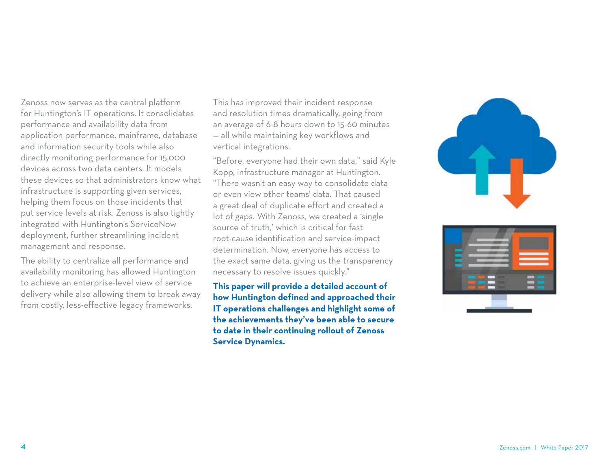Zenoss now serves as the central platform for Huntington's IT operations. It consolidates performance and availability data from application performance, mainframe, database and information security tools while also directly monitoring performance for 15,000 devices across two data centers. It models these devices so that administrators know what infrastructure is supporting given services, helping them focus on those incidents that put service levels at risk. Zenoss is also tightly integrated with Huntington's ServiceNow deployment, further streamlining incident management and response.

The ability to centralize all performance and availability monitoring has allowed Huntington to achieve an enterprise-level view of service delivery while also allowing them to break away from costly, less-effective legacy frameworks.

This has improved their incident response and resolution times dramatically, going from an average of 6-8 hours down to 15-60 minutes — all while maintaining key workflows and vertical integrations.

"Before, everyone had their own data," said Kyle Kopp, infrastructure manager at Huntington. "There wasn't an easy way to consolidate data or even view other teams' data. That caused a great deal of duplicate effort and created a lot of gaps. With Zenoss, we created a 'single source of truth,' which is critical for fast root-cause identification and service-impact determination. Now, everyone has access to the exact same data, giving us the transparency necessary to resolve issues quickly."

**This paper will provide a detailed account of how Huntington defined and approached their IT operations challenges and highlight some of the achievements they've been able to secure to date in their continuing rollout of Zenoss Service Dynamics.**



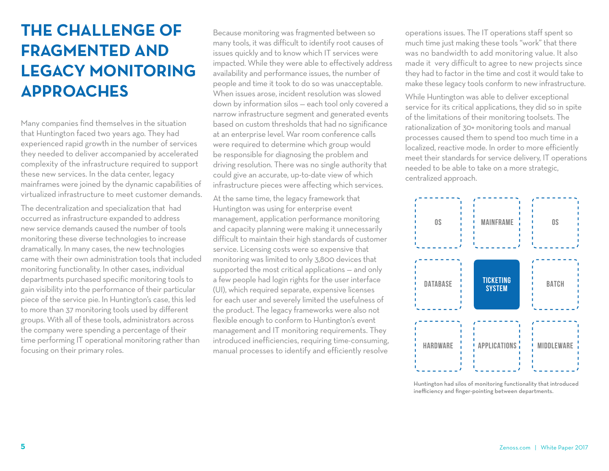## **THE CHALLENGE OF FRAGMENTED AND LEGACY MONITORING APPROACHES**

Many companies find themselves in the situation that Huntington faced two years ago. They had experienced rapid growth in the number of services they needed to deliver accompanied by accelerated complexity of the infrastructure required to support these new services. In the data center, legacy mainframes were joined by the dynamic capabilities of virtualized infrastructure to meet customer demands.

The decentralization and specialization that had occurred as infrastructure expanded to address new service demands caused the number of tools monitoring these diverse technologies to increase dramatically. In many cases, the new technologies came with their own administration tools that included monitoring functionality. In other cases, individual departments purchased specific monitoring tools to gain visibility into the performance of their particular piece of the service pie. In Huntington's case, this led to more than 37 monitoring tools used by different groups. With all of these tools, administrators across the company were spending a percentage of their time performing IT operational monitoring rather than focusing on their primary roles.

Because monitoring was fragmented between so many tools, it was difficult to identify root causes of issues quickly and to know which IT services were impacted. While they were able to effectively address availability and performance issues, the number of people and time it took to do so was unacceptable. When issues arose, incident resolution was slowed down by information silos — each tool only covered a narrow infrastructure segment and generated events based on custom thresholds that had no significance at an enterprise level. War room conference calls were required to determine which group would be responsible for diagnosing the problem and driving resolution. There was no single authority that could give an accurate, up-to-date view of which infrastructure pieces were affecting which services.

At the same time, the legacy framework that Huntington was using for enterprise event management, application performance monitoring and capacity planning were making it unnecessarily difficult to maintain their high standards of customer service. Licensing costs were so expensive that monitoring was limited to only 3,800 devices that supported the most critical applications — and only a few people had login rights for the user interface (UI), which required separate, expensive licenses for each user and severely limited the usefulness of the product. The legacy frameworks were also not flexible enough to conform to Huntington's event management and IT monitoring requirements. They introduced inefficiencies, requiring time-consuming, manual processes to identify and efficiently resolve

operations issues. The IT operations staff spent so much time just making these tools "work" that there was no bandwidth to add monitoring value. It also made it very difficult to agree to new projects since they had to factor in the time and cost it would take to make these legacy tools conform to new infrastructure.

While Huntington was able to deliver exceptional service for its critical applications, they did so in spite of the limitations of their monitoring toolsets. The rationalization of 30+ monitoring tools and manual processes caused them to spend too much time in a localized, reactive mode. In order to more efficiently meet their standards for service delivery, IT operations needed to be able to take on a more strategic, centralized approach.



Huntington had silos of monitoring functionality that introduced inefficiency and finger-pointing between departments.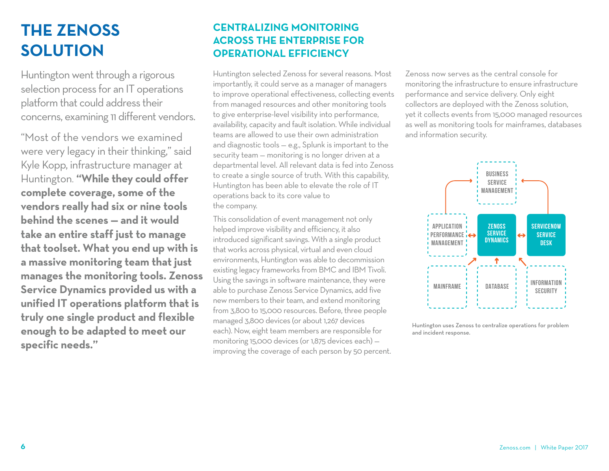## **THE ZENOSS SOLUTION**

Huntington went through a rigorous selection process for an IT operations platform that could address their concerns, examining 11 different vendors.

"Most of the vendors we examined were very legacy in their thinking," said Kyle Kopp, infrastructure manager at Huntington. **"While they could offer complete coverage, some of the vendors really had six or nine tools behind the scenes — and it would take an entire staff just to manage that toolset. What you end up with is a massive monitoring team that just manages the monitoring tools. Zenoss Service Dynamics provided us with a unified IT operations platform that is truly one single product and flexible enough to be adapted to meet our specific needs."**

### **CENTRALIZING MONITORING ACROSS THE ENTERPRISE FOR OPERATIONAL EFFICIENCY**

Huntington selected Zenoss for several reasons. Most importantly, it could serve as a manager of managers to improve operational effectiveness, collecting events from managed resources and other monitoring tools to give enterprise-level visibility into performance, availability, capacity and fault isolation. While individual teams are allowed to use their own administration and diagnostic tools — e.g., Splunk is important to the security team — monitoring is no longer driven at a departmental level. All relevant data is fed into Zenoss to create a single source of truth. With this capability, Huntington has been able to elevate the role of IT operations back to its core value to the company.

This consolidation of event management not only helped improve visibility and efficiency, it also introduced significant savings. With a single product that works across physical, virtual and even cloud environments, Huntington was able to decommission existing legacy frameworks from BMC and IBM Tivoli. Using the savings in software maintenance, they were able to purchase Zenoss Service Dynamics, add five new members to their team, and extend monitoring from 3,800 to 15,000 resources. Before, three people managed 3,800 devices (or about 1,267 devices each). Now, eight team members are responsible for monitoring 15,000 devices (or 1,875 devices each) improving the coverage of each person by 50 percent.

Zenoss now serves as the central console for monitoring the infrastructure to ensure infrastructure performance and service delivery. Only eight collectors are deployed with the Zenoss solution, yet it collects events from 15,000 managed resources as well as monitoring tools for mainframes, databases and information security.



Huntington uses Zenoss to centralize operations for problem and incident response.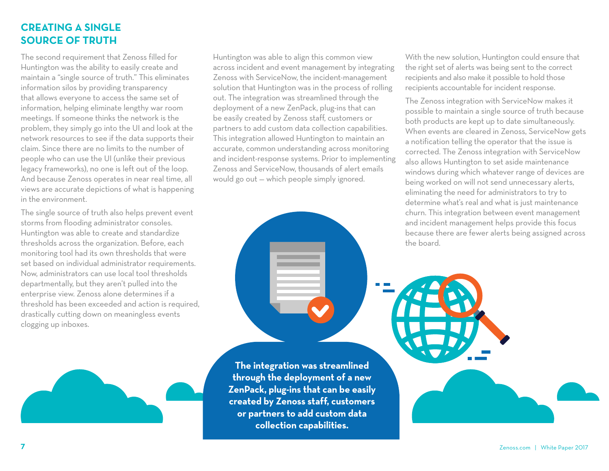### **CREATING A SINGLE SOURCE OF TRUTH**

The second requirement that Zenoss filled for Huntington was the ability to easily create and maintain a "single source of truth." This eliminates information silos by providing transparency that allows everyone to access the same set of information, helping eliminate lengthy war room meetings. If someone thinks the network is the problem, they simply go into the UI and look at the network resources to see if the data supports their claim. Since there are no limits to the number of people who can use the UI (unlike their previous legacy frameworks), no one is left out of the loop. And because Zenoss operates in near real time, all views are accurate depictions of what is happening in the environment.

The single source of truth also helps prevent event storms from flooding administrator consoles. Huntington was able to create and standardize thresholds across the organization. Before, each monitoring tool had its own thresholds that were set based on individual administrator requirements. Now, administrators can use local tool thresholds departmentally, but they aren't pulled into the enterprise view. Zenoss alone determines if a threshold has been exceeded and action is required, drastically cutting down on meaningless events clogging up inboxes.

Huntington was able to align this common view across incident and event management by integrating Zenoss with ServiceNow, the incident-management solution that Huntington was in the process of rolling out. The integration was streamlined through the deployment of a new ZenPack, plug-ins that can be easily created by Zenoss staff, customers or partners to add custom data collection capabilities. This integration allowed Huntington to maintain an accurate, common understanding across monitoring and incident-response systems. Prior to implementing Zenoss and ServiceNow, thousands of alert emails would go out — which people simply ignored.

**The integration was streamlined through the deployment of a new ZenPack, plug-ins that can be easily created by Zenoss staff, customers or partners to add custom data collection capabilities.**

With the new solution, Huntington could ensure that the right set of alerts was being sent to the correct recipients and also make it possible to hold those recipients accountable for incident response.

The Zenoss integration with ServiceNow makes it possible to maintain a single source of truth because both products are kept up to date simultaneously. When events are cleared in Zenoss, ServiceNow gets a notification telling the operator that the issue is corrected. The Zenoss integration with ServiceNow also allows Huntington to set aside maintenance windows during which whatever range of devices are being worked on will not send unnecessary alerts, eliminating the need for administrators to try to determine what's real and what is just maintenance churn. This integration between event management and incident management helps provide this focus because there are fewer alerts being assigned across the board.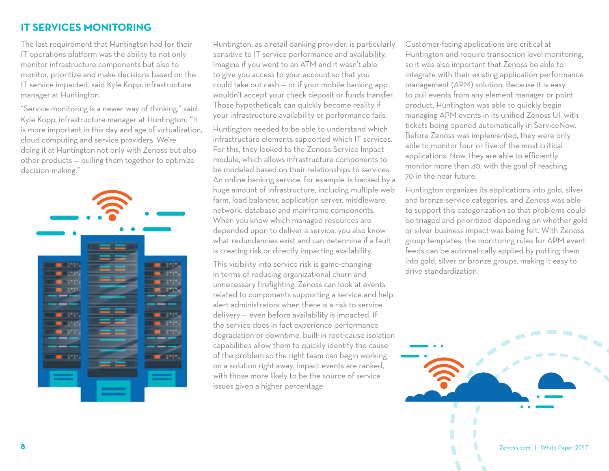### **IT SERVICES MONITORING**

The last requirement that Huntington had for their IT operations platform was the ability to not only monitor infrastructure components but also to monitor, prioritize and make decisions based on the IT service impacted. said Kyle Kopp, infrastructure manager at Huntington.

"Service monitoring is a newer way of thinking," said Kyle Kopp, infrastructure manager at Huntington. "It is more important in this day and age of virtualization, cloud computing and service providers. We're doing it at Huntington not only with Zenoss but also other products — pulling them together to optimize decision-making."



Huntington, as a retail banking provider, is particularly sensitive to IT service performance and availability. Imagine if you went to an ATM and it wasn't able to give you access to your account so that you could take out cash — or if your mobile banking app wouldn't accept your check deposit or funds transfer. Those hypotheticals can quickly become reality if your infrastructure availability or performance fails. Huntington needed to be able to understand which infrastructure elements supported which IT services. For this, they looked to the Zenoss Service Impact module, which allows infrastructure components to be modeled based on their relationships to services. An online banking service, for example, is backed by a huge amount of infrastructure, including multiple web farm, load balancer, application server, middleware, network, database and mainframe components. When you know which managed resources are depended upon to deliver a service, you also know

is creating risk or directly impacting availability. This visibility into service risk is game-changing in terms of reducing organizational churn and unnecessary firefighting. Zenoss can look at events related to components supporting a service and help alert administrators when there is a risk to service delivery — even before availability is impacted. If the service does in fact experience performance degradation or downtime, built-in root-cause isolation capabilities allow them to quickly identify the cause of the problem so the right team can begin working on a solution right away. Impact events are ranked, with those more likely to be the source of service issues given a higher percentage.

what redundancies exist and can determine if a fault

Customer-facing applications are critical at Huntington and require transaction level monitoring, so it was also important that Zenoss be able to integrate with their existing application performance management (APM) solution. Because it is easy to pull events from any element manager or point product, Huntington was able to quickly begin managing APM events in its unified Zenoss UI, with tickets being opened automatically in ServiceNow. Before Zenoss was implemented, they were only able to monitor four or five of the most critical applications. Now, they are able to efficiently monitor more than 40, with the goal of reaching 70 in the near future.

Huntington organizes its applications into gold, silver and bronze service categories, and Zenoss was able to support this categorization so that problems could be triaged and prioritized depending on whether gold or silver business impact was being felt. With Zenoss group templates, the monitoring rules for APM event feeds can be automatically applied by putting them into gold, silver or bronze groups, making it easy to drive standardization.

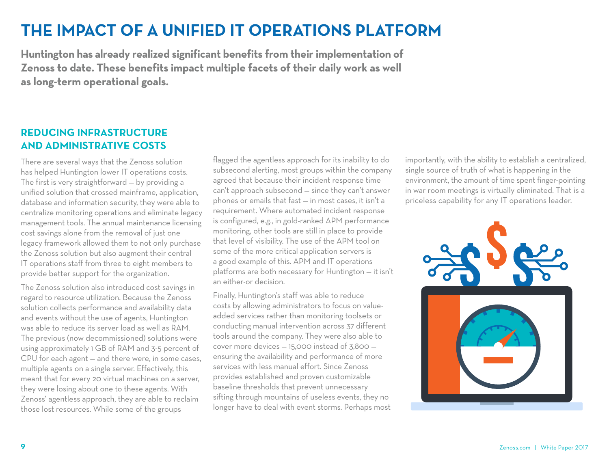### **THE IMPACT OF A UNIFIED IT OPERATIONS PLATFORM**

**Huntington has already realized significant benefits from their implementation of Zenoss to date. These benefits impact multiple facets of their daily work as well as long-term operational goals.**

### **REDUCING INFRASTRUCTURE AND ADMINISTRATIVE COSTS**

There are several ways that the Zenoss solution has helped Huntington lower IT operations costs. The first is very straightforward — by providing a unified solution that crossed mainframe, application, database and information security, they were able to centralize monitoring operations and eliminate legacy management tools. The annual maintenance licensing cost savings alone from the removal of just one legacy framework allowed them to not only purchase the Zenoss solution but also augment their central IT operations staff from three to eight members to provide better support for the organization.

The Zenoss solution also introduced cost savings in regard to resource utilization. Because the Zenoss solution collects performance and availability data and events without the use of agents, Huntington was able to reduce its server load as well as RAM. The previous (now decommissioned) solutions were using approximately 1 GB of RAM and 3-5 percent of CPU for each agent — and there were, in some cases, multiple agents on a single server. Effectively, this meant that for every 20 virtual machines on a server, they were losing about one to these agents. With Zenoss' agentless approach, they are able to reclaim those lost resources. While some of the groups

flagged the agentless approach for its inability to do subsecond alerting, most groups within the company agreed that because their incident response time can't approach subsecond — since they can't answer phones or emails that fast — in most cases, it isn't a requirement. Where automated incident response is configured, e.g., in gold-ranked APM performance monitoring, other tools are still in place to provide that level of visibility. The use of the APM tool on some of the more critical application servers is a good example of this. APM and IT operations platforms are both necessary for Huntington — it isn't an either-or decision.

Finally, Huntington's staff was able to reduce costs by allowing administrators to focus on valueadded services rather than monitoring toolsets or conducting manual intervention across 37 different tools around the company. They were also able to cover more devices — 15,000 instead of 3,800 ensuring the availability and performance of more services with less manual effort. Since Zenoss provides established and proven customizable baseline thresholds that prevent unnecessary sifting through mountains of useless events, they no longer have to deal with event storms. Perhaps most importantly, with the ability to establish a centralized, single source of truth of what is happening in the environment, the amount of time spent finger-pointing in war room meetings is virtually eliminated. That is a priceless capability for any IT operations leader.

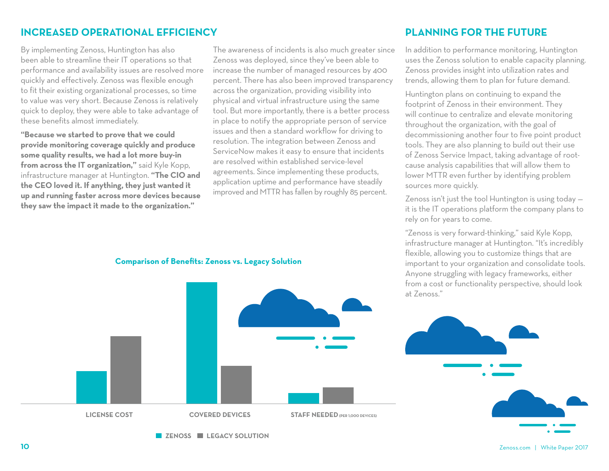### **INCREASED OPERATIONAL EFFICIENCY**

By implementing Zenoss, Huntington has also been able to streamline their IT operations so that performance and availability issues are resolved more quickly and effectively. Zenoss was flexible enough to fit their existing organizational processes, so time to value was very short. Because Zenoss is relatively quick to deploy, they were able to take advantage of these benefits almost immediately.

**"Because we started to prove that we could provide monitoring coverage quickly and produce some quality results, we had a lot more buy-in from across the IT organization,"** said Kyle Kopp, infrastructure manager at Huntington. **"The CIO and the CEO loved it. If anything, they just wanted it up and running faster across more devices because they saw the impact it made to the organization."**

The awareness of incidents is also much greater since Zenoss was deployed, since they've been able to increase the number of managed resources by 400 percent. There has also been improved transparency across the organization, providing visibility into physical and virtual infrastructure using the same tool. But more importantly, there is a better process in place to notify the appropriate person of service issues and then a standard workflow for driving to resolution. The integration between Zenoss and ServiceNow makes it easy to ensure that incidents are resolved within established service-level agreements. Since implementing these products, application uptime and performance have steadily improved and MTTR has fallen by roughly 85 percent.

### **PLANNING FOR THE FUTURE**

In addition to performance monitoring, Huntington uses the Zenoss solution to enable capacity planning. Zenoss provides insight into utilization rates and trends, allowing them to plan for future demand.

Huntington plans on continuing to expand the footprint of Zenoss in their environment. They will continue to centralize and elevate monitoring throughout the organization, with the goal of decommissioning another four to five point product tools. They are also planning to build out their use of Zenoss Service Impact, taking advantage of rootcause analysis capabilities that will allow them to lower MTTR even further by identifying problem sources more quickly.

Zenoss isn't just the tool Huntington is using today it is the IT operations platform the company plans to rely on for years to come.

"Zenoss is very forward-thinking," said Kyle Kopp, infrastructure manager at Huntington. "It's incredibly flexible, allowing you to customize things that are important to your organization and consolidate tools. Anyone struggling with legacy frameworks, either from a cost or functionality perspective, should look



**Comparison of Benefits: Zenoss vs. Legacy Solution**